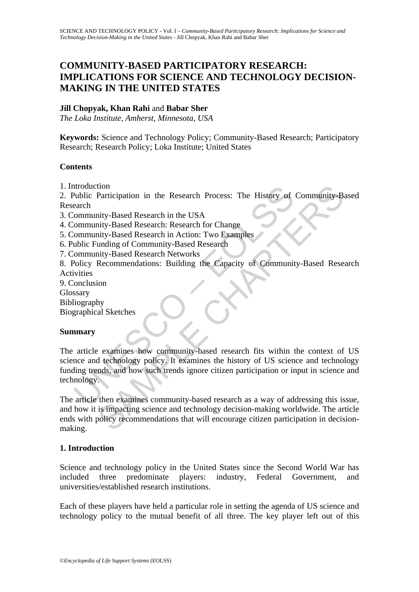# **COMMUNITY-BASED PARTICIPATORY RESEARCH: IMPLICATIONS FOR SCIENCE AND TECHNOLOGY DECISION-MAKING IN THE UNITED STATES**

### **Jill Chopyak, Khan Rahi** and **Babar Sher**

*The Loka Institute, Amherst, Minnesota, USA* 

**Keywords:** Science and Technology Policy; Community-Based Research; Participatory Research; Research Policy; Loka Institute; United States

#### **Contents**

1. Introduction

2. Public Participation in the Research Process: The History of Community-Based Research

3. Community-Based Research in the USA

4. Community-Based Research: Research for Change

- 5. Community-Based Research in Action: Two Examples
- 6. Public Funding of Community-Based Research
- 7. Community-Based Research Networks

8. Policy Recommendations: Building the Capacity of Community-Based Research Activities

9. Conclusion Glossary

Bibliography

Biographical Sketches

### **Summary**

Molic Participation in the Research Process: The History of<br>
Participation in the Research Process: The History of<br>
earch<br>
community-Based Research in Action: Two Examples<br>
community-Based Research in Action: Two Examples<br> The History of Community-Batter<br>
inty-Based Research in the USA<br>
inty-Based Research in the USA<br>
inty-Based Research in Action: Two Examples<br>
inty-Based Research in Action: Two Examples<br>
unding of Community-Based Research<br> The article examines how community-based research fits within the context of US science and technology policy. It examines the history of US science and technology funding trends, and how such trends ignore citizen participation or input in science and technology.

The article then examines community-based research as a way of addressing this issue, and how it is impacting science and technology decision-making worldwide. The article ends with policy recommendations that will encourage citizen participation in decisionmaking.

### **1. Introduction**

Science and technology policy in the United States since the Second World War has included three predominate players: industry, Federal Government, and universities/established research institutions.

Each of these players have held a particular role in setting the agenda of US science and technology policy to the mutual benefit of all three. The key player left out of this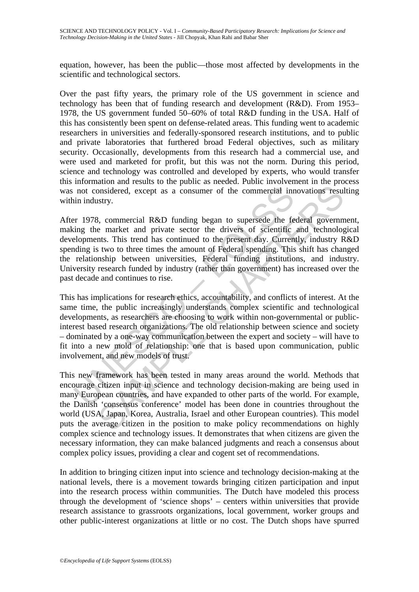equation, however, has been the public—those most affected by developments in the scientific and technological sectors.

Over the past fifty years, the primary role of the US government in science and technology has been that of funding research and development (R&D). From 1953– 1978, the US government funded 50–60% of total R&D funding in the USA. Half of this has consistently been spent on defense-related areas. This funding went to academic researchers in universities and federally-sponsored research institutions, and to public and private laboratories that furthered broad Federal objectives, such as military security. Occasionally, developments from this research had a commercial use, and were used and marketed for profit, but this was not the norm. During this period, science and technology was controlled and developed by experts, who would transfer this information and results to the public as needed. Public involvement in the process was not considered, except as a consumer of the commercial innovations resulting within industry.

After 1978, commercial R&D funding began to supersede the federal government, making the market and private sector the drivers of scientific and technological developments. This trend has continued to the present day. Currently, industry R&D spending is two to three times the amount of Federal spending. This shift has changed the relationship between universities, Federal funding institutions, and industry. University research funded by industry (rather than government) has increased over the past decade and continues to rise.

not considered, except as a consumer of the commercial in<br>the industry.<br>The industry.<br>The interpretent and private sector the drivers of scientific<br>ilog the market and private sector the drivers of scientific<br>elopments. Th onsidered, except as a consumer of the commercial innovations results<br>sty.<br>S, commercial R&D funding began to supersede the federal governme<br>market and private sector the drivers of scientific and technolog<br>nts. This trend This has implications for research ethics, accountability, and conflicts of interest. At the same time, the public increasingly understands complex scientific and technological developments, as researchers are choosing to work within non-governmental or publicinterest based research organizations. The old relationship between science and society – dominated by a one-way communication between the expert and society – will have to fit into a new mold of relationship: one that is based upon communication, public involvement, and new models of trust.

This new framework has been tested in many areas around the world. Methods that encourage citizen input in science and technology decision-making are being used in many European countries, and have expanded to other parts of the world. For example, the Danish 'consensus conference' model has been done in countries throughout the world (USA, Japan, Korea, Australia, Israel and other European countries). This model puts the average citizen in the position to make policy recommendations on highly complex science and technology issues. It demonstrates that when citizens are given the necessary information, they can make balanced judgments and reach a consensus about complex policy issues, providing a clear and cogent set of recommendations.

In addition to bringing citizen input into science and technology decision-making at the national levels, there is a movement towards bringing citizen participation and input into the research process within communities. The Dutch have modeled this process through the development of 'science shops' – centers within universities that provide research assistance to grassroots organizations, local government, worker groups and other public-interest organizations at little or no cost. The Dutch shops have spurred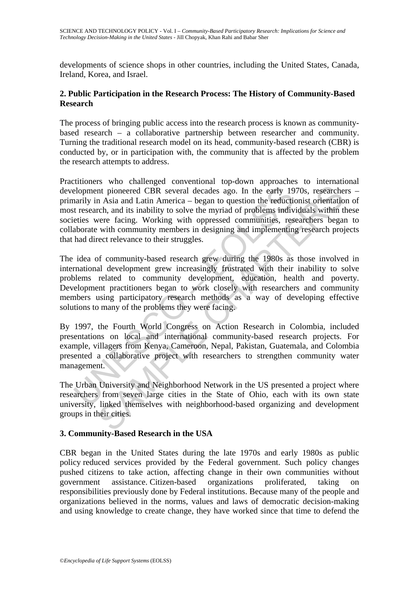developments of science shops in other countries, including the United States, Canada, Ireland, Korea, and Israel.

#### **2. Public Participation in the Research Process: The History of Community-Based Research**

The process of bringing public access into the research process is known as communitybased research – a collaborative partnership between researcher and community. Turning the traditional research model on its head, community-based research (CBR) is conducted by, or in participation with, the community that is affected by the problem the research attempts to address.

elopment pioneered CBR several decades ago. In the early 19<br>aarily in Asia and Latin America – began to question the reduction<br>tresearch, and its inability to solve the myriad of problems indiv<br>eties were facing. Working w Interior and Its inability to solve the mysing and Letin This control.<br>The religion of the same time and Latin America - began to question the reductionist orientation<br>che, and its inability to solve the myriad of problems Practitioners who challenged conventional top-down approaches to international development pioneered CBR several decades ago. In the early 1970s, researchers – primarily in Asia and Latin America – began to question the reductionist orientation of most research, and its inability to solve the myriad of problems individuals within these societies were facing. Working with oppressed communities, researchers began to collaborate with community members in designing and implementing research projects that had direct relevance to their struggles.

The idea of community-based research grew during the 1980s as those involved in international development grew increasingly frustrated with their inability to solve problems related to community development, education, health and poverty. Development practitioners began to work closely with researchers and community members using participatory research methods as a way of developing effective solutions to many of the problems they were facing.

By 1997, the Fourth World Congress on Action Research in Colombia, included presentations on local and international community-based research projects. For example, villagers from Kenya, Cameroon, Nepal, Pakistan, Guatemala, and Colombia presented a collaborative project with researchers to strengthen community water management.

The Urban University and Neighborhood Network in the US presented a project where researchers from seven large cities in the State of Ohio, each with its own state university, linked themselves with neighborhood-based organizing and development groups in their cities.

### **3. Community-Based Research in the USA**

CBR began in the United States during the late 1970s and early 1980s as public policy reduced services provided by the Federal government. Such policy changes pushed citizens to take action, affecting change in their own communities without government assistance. Citizen-based organizations proliferated, taking on responsibilities previously done by Federal institutions. Because many of the people and organizations believed in the norms, values and laws of democratic decision-making and using knowledge to create change, they have worked since that time to defend the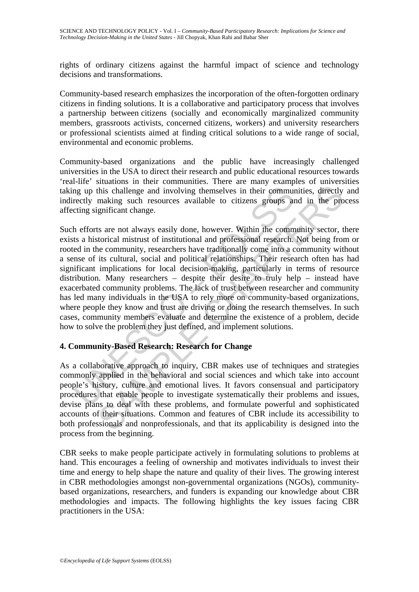rights of ordinary citizens against the harmful impact of science and technology decisions and transformations.

Community-based research emphasizes the incorporation of the often-forgotten ordinary citizens in finding solutions. It is a collaborative and participatory process that involves a partnership between citizens (socially and economically marginalized community members, grassroots activists, concerned citizens, workers) and university researchers or professional scientists aimed at finding critical solutions to a wide range of social, environmental and economic problems.

Community-based organizations and the public have increasingly challenged universities in the USA to direct their research and public educational resources towards 'real-life' situations in their communities. There are many examples of universities taking up this challenge and involving themselves in their communities, directly and indirectly making such resources available to citizens groups and in the process affecting significant change.

may up this challenge and involving themselves in their communited metally making such resources available to citizens groups and the end strained in the fronts are not always easily done, however. Within the community as this challenge and involving themselves in their communities, directly making such resources available to citizens groups and in the prognificant change.<br>
ts are not always easily done, however. Within the communities, dir Such efforts are not always easily done, however. Within the community sector, there exists a historical mistrust of institutional and professional research. Not being from or rooted in the community, researchers have traditionally come into a community without a sense of its cultural, social and political relationships. Their research often has had significant implications for local decision-making, particularly in terms of resource distribution. Many researchers – despite their desire to truly help – instead have exacerbated community problems. The lack of trust between researcher and community has led many individuals in the USA to rely more on community-based organizations, where people they know and trust are driving or doing the research themselves. In such cases, community members evaluate and determine the existence of a problem, decide how to solve the problem they just defined, and implement solutions.

### **4. Community-Based Research: Research for Change**

As a collaborative approach to inquiry, CBR makes use of techniques and strategies commonly applied in the behavioral and social sciences and which take into account people's history, culture and emotional lives. It favors consensual and participatory procedures that enable people to investigate systematically their problems and issues, devise plans to deal with these problems, and formulate powerful and sophisticated accounts of their situations. Common and features of CBR include its accessibility to both professionals and nonprofessionals, and that its applicability is designed into the process from the beginning.

CBR seeks to make people participate actively in formulating solutions to problems at hand. This encourages a feeling of ownership and motivates individuals to invest their time and energy to help shape the nature and quality of their lives. The growing interest in CBR methodologies amongst non-governmental organizations (NGOs), communitybased organizations, researchers, and funders is expanding our knowledge about CBR methodologies and impacts. The following highlights the key issues facing CBR practitioners in the USA: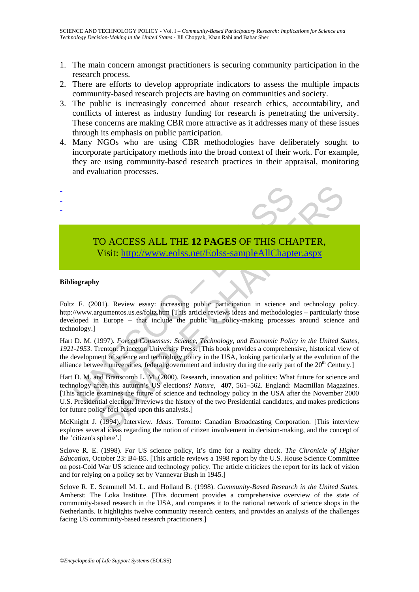- 1. The main concern amongst practitioners is securing community participation in the research process.
- 2. There are efforts to develop appropriate indicators to assess the multiple impacts community-based research projects are having on communities and society.
- 3. The public is increasingly concerned about research ethics, accountability, and conflicts of interest as industry funding for research is penetrating the university. These concerns are making CBR more attractive as it addresses many of these issues through its emphasis on public participation.
- 4. Many NGOs who are using CBR methodologies have deliberately sought to incorporate participatory methods into the broad context of their work. For example, they are using community-based research practices in their appraisal, monitoring and evaluation processes.



## TO ACCESS ALL THE **12 PAGES** OF THIS CHAPTER, Visit: http://www.eolss.net/Eolss-sampleAllChapter.aspx

#### **Bibliography**

Foltz F. (2001). Review essay: increasing public participation in science and technology policy. http://www.argumentos.us.es/foltz.htm [This article reviews ideas and methodologies – particularly those developed in Europe – that include the public in policy-making processes around science and technology.]

Hart D. M. (1997). *Forced Consensus: Science, Technology, and Economic Policy in the United States, 1921-1953*. Trenton: Princeton University Press. [This book provides a comprehensive, historical view of the development of science and technology policy in the USA, looking particularly at the evolution of the alliance between universities, federal government and industry during the early part of the 20<sup>th</sup> Century.]

Hart D. M. and Branscomb L. M. (2000). Research, innovation and politics: What future for science and technology after this autumn's US elections? *Nature,* **407**, 561–562. England: Macmillan Magazines. [This article examines the future of science and technology policy in the USA after the November 2000 U.S. Presidential election. It reviews the history of the two Presidential candidates, and makes predictions for future policy foci based upon this analysis.]

McKnight J. (1994). Interview. *Ideas*. Toronto: Canadian Broadcasting Corporation. [This interview explores several ideas regarding the notion of citizen involvement in decision-making, and the concept of the 'citizen's sphere'.]

Sclove R. E. (1998). For US science policy, it's time for a reality check. *The Chronicle of Higher Education,* October 23: B4-B5. [This article reviews a 1998 report by the U.S. House Science Committee on post-Cold War US science and technology policy. The article criticizes the report for its lack of vision and for relying on a policy set by Vannevar Bush in 1945.]

Sclove R. E. Scammell M. L. and Holland B. (1998). *Community-Based Research in the United States.* Amherst: The Loka Institute. [This document provides a comprehensive overview of the state of community-based research in the USA, and compares it to the national network of science shops in the Netherlands. It highlights twelve community research centers, and provides an analysis of the challenges facing US community-based research practitioners.]